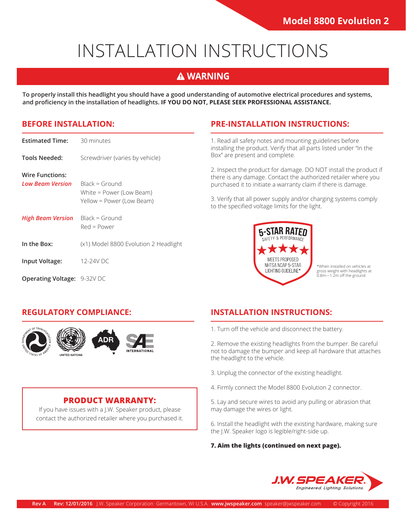# INSTALLATION INSTRUCTIONS

### **A WARNING**

**To properly install this headlight you should have a good understanding of automotive electrical procedures and systems, and proficiency in the installation of headlights. IF YOU DO NOT, PLEASE SEEK PROFESSIONAL ASSISTANCE.**

#### **BEFORE INSTALLATION:**

| <b>Estimated Time:</b>              | 30 minutes                                                                |
|-------------------------------------|---------------------------------------------------------------------------|
| Tools Needed:                       | Screwdriver (varies by vehicle)                                           |
| Wire Functions:<br>Low Beam Version | $Black = Ground$<br>White = Power (Low Beam)<br>Yellow = Power (Low Beam) |
| <b>High Beam Version</b>            | $Black = Ground$<br>$Red = Power$                                         |
| In the Box:                         | (x1) Model 8800 Evolution 2 Headlight                                     |
| Input Voltage:                      | 12-24V DC                                                                 |
| <b>Operating Voltage: 9-32V DC</b>  |                                                                           |

#### **PRE-INSTALLATION INSTRUCTIONS:**

1. Read all safety notes and mounting guidelines before installing the product. Verify that all parts listed under "In the Box" are present and complete.

2. Inspect the product for damage. DO NOT install the product if there is any damage. Contact the authorized retailer where you purchased it to initiate a warranty claim if there is damage.

3. Verify that all power supply and/or charging systems comply to the specified voltage limits for the light.



\*When installed on vehicles at gross weight with headlights at 0.8m—1.2m off the ground.

#### **REGULATORY COMPLIANCE:**



#### **PRODUCT WARRANTY:**

If you have issues with a J.W. Speaker product, please contact the authorized retailer where you purchased it.

#### **INSTALLATION INSTRUCTIONS:**

1. Turn off the vehicle and disconnect the battery.

2. Remove the existing headlights from the bumper. Be careful not to damage the bumper and keep all hardware that attaches the headlight to the vehicle.

- 3. Unplug the connector of the existing headlight.
- 4. Firmly connect the Model 8800 Evolution 2 connector.

5. Lay and secure wires to avoid any pulling or abrasion that may damage the wires or light.

6. Install the headlight with the existing hardware, making sure the J.W. Speaker logo is legible/right-side up.

**7. Aim the lights (continued on next page).**

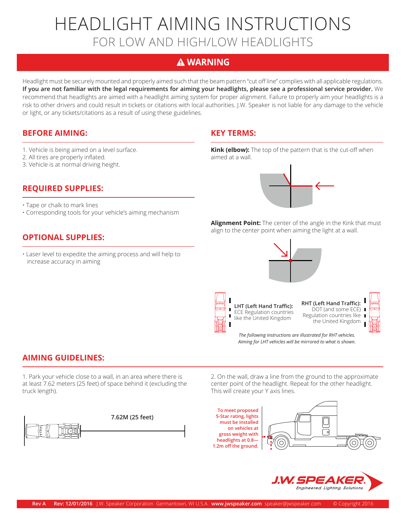## HEADLIGHT AIMING INSTRUCTIONS FOR LOW AND HIGH/LOW HEADLIGHTS

### **A WARNING**

Headlight must be securely mounted and properly aimed such that the beam pattern "cut off line" complies with all applicable regulations. **If you are not familiar with the legal requirements for aiming your headlights, please see a professional service provider.** We recommend that headlights are aimed with a headlight aiming system for proper alignment. Failure to properly aim your headlights is a risk to other drivers and could result in tickets or citations with local authorities. J.W. Speaker is not liable for any damage to the vehicle or light, or any tickets/citations as a result of using these guidelines.

#### **BEFORE AIMING: KEY TERMS:**

- 1. Vehicle is being aimed on a level surface.
- 2. All tires are properly inflated.
- 3. Vehicle is at normal driving height.

#### **REQUIRED SUPPLIES:**

- Tape or chalk to mark lines
- Corresponding tools for your vehicle's aiming mechanism

#### **OPTIONAL SUPPLIES:**

• Laser level to expedite the aiming process and will help to increase accuracy in aiming

**Kink (elbow):** The top of the pattern that is the cut-off when aimed at a wall.



**Alignment Point:** The center of the angle in the Kink that must align to the center point when aiming the light at a wall.



**LHT (Left Hand Traffic):**  ECE Regulation countries like the United Kingdom

**RHT (Left Hand Traffic):**  DOT (and some ECE) ■ Regulation countries like the United Kingdom



*The following instructions are illustrated for RHT vehicles. Aiming for LHT vehicles will be mirrored to what is shown.*

#### **AIMING GUIDELINES:**

1. Park your vehicle close to a wall, in an area where there is at least 7.62 meters (25 feet) of space behind it (excluding the truck length).



2. On the wall, draw a line from the ground to the approximate center point of the headlight. Repeat for the other headlight. This will create your Y axis lines.

**To meet proposed 5-Star rating, lights must be installed on vehicles at gross weight with headlights at 0.8— 1.2m off the ground.**

П I.



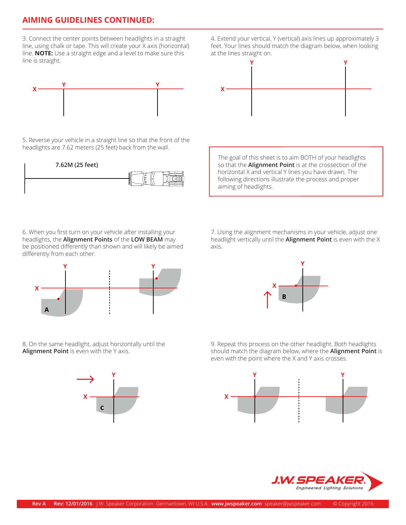#### **AIMING GUIDELINES CONTINUED:**

3. Connect the center points between headlights in a straight line, using chalk or tape. This will create your X axis (horizontal) line. **NOTE:** Use a straight edge and a level to make sure this line is straight.



5. Reverse your vehicle in a straight line so that the front of the headlights are 7.62 meters (25 feet) back from the wall.



6. When you first turn on your vehicle after installing your headlights, the **Alignment Points** of the **LOW BEAM** may be positioned differently than shown and will likely be aimed differently from each other.



8. On the same headlight, adjust horizontally until the **Alignment Point** is even with the Y axis.



4. Extend your vertical, Y (vertical) axis lines up approximately 3 feet. Your lines should match the diagram below, when looking at the lines straight on.



The goal of this sheet is to aim BOTH of your headlights so that the **Alignment Point** is at the crossection of the horizontal X and vertical Y lines you have drawn. The following directions illustrate the process and proper aiming of headlights.

7. Using the alignment mechanisms in your vehicle, adjust one headlight vertically until the **Alignment Point** is even with the X axis.



9. Repeat this process on the other headlight. Both headlights should match the diagram below, where the **Alignment Point** is even with the point where the X and Y axis crosses.



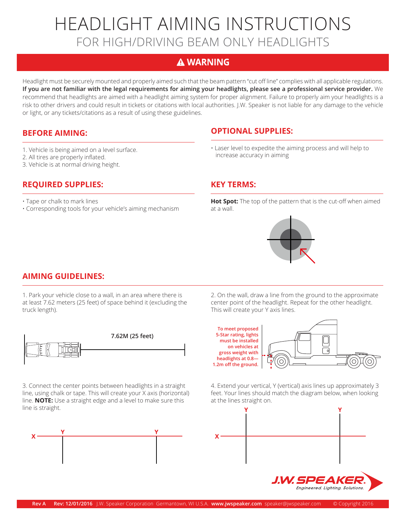## HEADLIGHT AIMING INSTRUCTIONS FOR HIGH/DRIVING BEAM ONLY HEADLIGHTS

#### **A WARNING**

Headlight must be securely mounted and properly aimed such that the beam pattern "cut off line" complies with all applicable regulations. **If you are not familiar with the legal requirements for aiming your headlights, please see a professional service provider.** We recommend that headlights are aimed with a headlight aiming system for proper alignment. Failure to properly aim your headlights is a risk to other drivers and could result in tickets or citations with local authorities. J.W. Speaker is not liable for any damage to the vehicle or light, or any tickets/citations as a result of using these guidelines.

#### **BEFORE AIMING:**

- 1. Vehicle is being aimed on a level surface.
- 2. All tires are properly inflated.
- 3. Vehicle is at normal driving height.

#### **REQUIRED SUPPLIES:**

- Tape or chalk to mark lines
- Corresponding tools for your vehicle's aiming mechanism

#### **OPTIONAL SUPPLIES:**

• Laser level to expedite the aiming process and will help to increase accuracy in aiming

#### **KEY TERMS:**

**Hot Spot:** The top of the pattern that is the cut-off when aimed at a wall.

#### **AIMING GUIDELINES:**

1. Park your vehicle close to a wall, in an area where there is at least 7.62 meters (25 feet) of space behind it (excluding the truck length).



3. Connect the center points between headlights in a straight line, using chalk or tape. This will create your X axis (horizontal) line. **NOTE:** Use a straight edge and a level to make sure this line is straight.



2. On the wall, draw a line from the ground to the approximate center point of the headlight. Repeat for the other headlight. This will create your Y axis lines.



4. Extend your vertical, Y (vertical) axis lines up approximately 3 feet. Your lines should match the diagram below, when looking at the lines straight on.